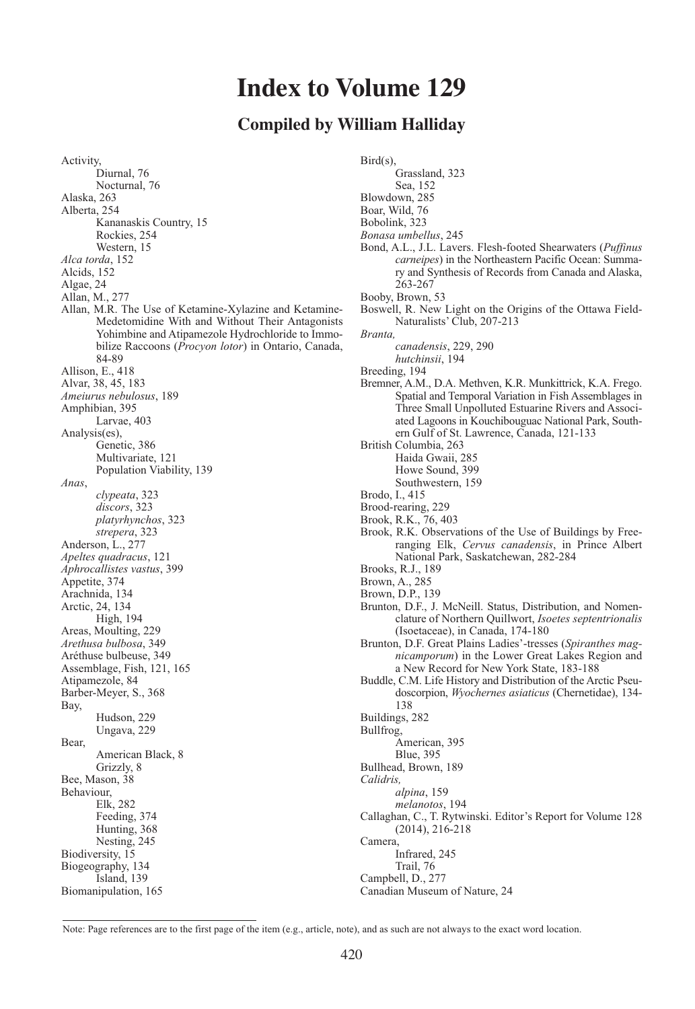# **Index to Volume 129**

## **Compiled by William Halliday**

Activity, Diurnal, 76 Nocturnal, 76 Alaska, 263 Alberta, 254 Kananaskis Country, 15 Rockies, 254 Western, 15 *Alca torda*, 152 Alcids, 152 Algae, 24 Allan, M., 277 Allan, M.R. The Use of Ketamine-Xylazine and Ketamine-Medetomidine With and Without Their Antagonists Yohimbine and Atipamezole Hydrochloride to Immobilize Raccoons (*Procyon lotor*) in Ontario, Canada, 84-89 Allison, E., 418 Alvar, 38, 45, 183 *Ameiurus nebulosus*, 189 Amphibian, 395 Larvae, 403 Analysis(es), Genetic, 386 Multivariate, 121 Population Viability, 139 *Anas*, *clypeata*, 323 *discors*, 323 *platyrhynchos*, 323 *strepera*, 323 Anderson, L., 277 *Apeltes quadracus*, 121 *Aphrocallistes vastus*, 399 Appetite, 374 Arachnida, 134 Arctic, 24, 134 High, 194 Areas, Moulting, 229 *Arethusa bulbosa*, 349 Aréthuse bulbeuse, 349 Assemblage, Fish, 121, 165 Atipamezole, 84 Barber-Meyer, S., 368 Bay, Hudson, 229 Ungava, 229 Bear, American Black, 8 Grizzly, 8 Bee, Mason, 38 Behaviour, Elk, 282 Feeding, 374 Hunting, 368 Nesting, 245 Biodiversity, 15 Biogeography, 134 Island, 139 Biomanipulation, 165

Bird(s), Grassland, 323 Sea, 152 Blowdown, 285 Boar, Wild, 76 Bobolink, 323 *Bonasa umbellus*, 245 Bond, A.L., J.L. Lavers. Flesh-footed Shearwaters (*Puffinus carneipes*) in the Northeastern Pacific Ocean: Summary and Synthesis of Records from Canada and Alaska, 263-267 Booby, Brown, 53 Boswell, R. New Light on the Origins of the Ottawa Field-Naturalists' Club, 207-213 *Branta, canadensis*, 229, 290 *hutchinsii*, 194 Breeding, 194 Bremner, A.M., D.A. Methven, K.R. Munkittrick, K.A. Frego. Spatial and Temporal Variation in Fish Assemblages in Three Small Unpolluted Estuarine Rivers and Associated Lagoons in Kouchibouguac National Park, Southern Gulf of St. Lawrence, Canada, 121-133 British Columbia, 263 Haida Gwaii, 285 Howe Sound, 399 Southwestern, 159 Brodo, I., 415 Brood-rearing, 229 Brook, R.K., 76, 403 Brook, R.K. Observations of the Use of Buildings by Freeranging Elk, *Cervus canadensis*, in Prince Albert National Park, Saskatchewan, 282-284 Brooks, R.J., 189 Brown, A., 285 Brown, D.P., 139 Brunton, D.F., J. McNeill. Status, Distribution, and Nomenclature of Northern Quillwort, *Isoetes septentrionalis* (Isoetaceae), in Canada, 174-180 Brunton, D.F. Great Plains Ladies'-tresses (*Spiranthes magnicamporum*) in the Lower Great Lakes Region and a New Record for New York State, 183-188 Buddle, C.M. Life History and Distribution of the Arctic Pseudoscorpion, *Wyochernes asiaticus* (Chernetidae), 134- 138 Buildings, 282 Bullfrog, American, 395 Blue, 395 Bullhead, Brown, 189 *Calidris, alpina*, 159 *melanotos*, 194 Callaghan, C., T. Rytwinski. Editor's Report for Volume 128 (2014), 216-218 Camera, Infrared, 245 Trail, 76 Campbell, D., 277 Canadian Museum of Nature, 24

Note: Page references are to the first page of the item (e.g., article, note), and as such are not always to the exact word location.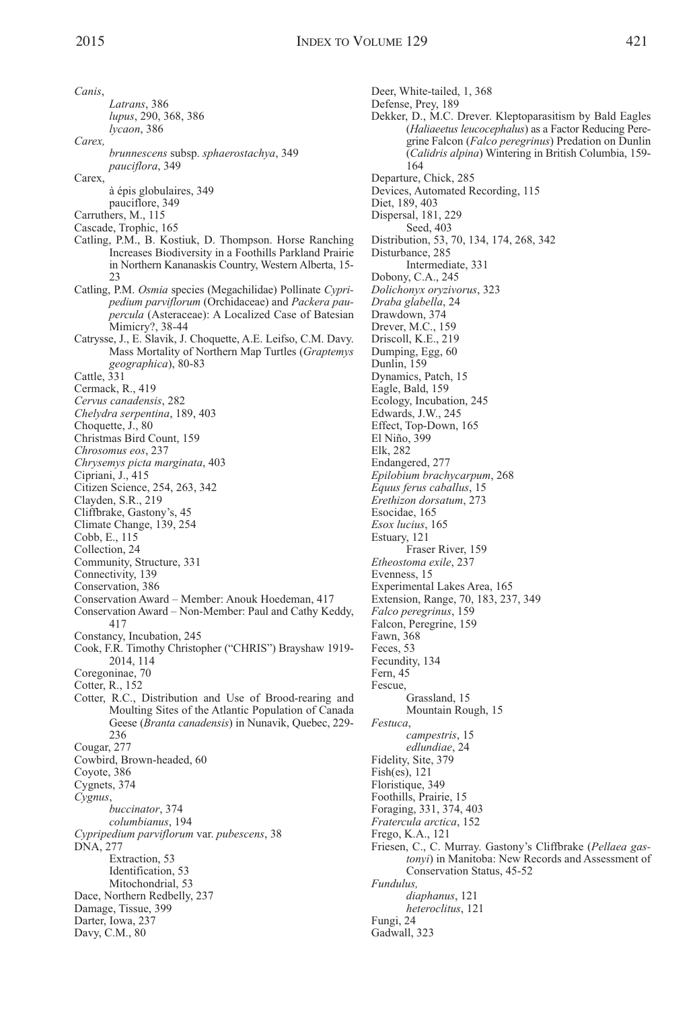*Canis*, *Latrans*, 386 *lupus*, 290, 368, 386 *lycaon*, 386 *Carex, brunnescens* subsp. *sphaerostachya*, 349 *pauciflora*, 349 Carex, à épis globulaires, 349 pauciflore, 349 Carruthers, M., 115 Cascade, Trophic, 165 Catling, P.M., B. Kostiuk, D. Thompson. Horse Ranching Increases Biodiversity in a Foothills Parkland Prairie in Northern Kananaskis Country, Western Alberta, 15-  $23$ Catling, P.M. *Osmia* species (Megachilidae) Pollinate *Cypripedium parviflorum* (Orchidaceae) and *Packera paupercula* (Asteraceae): A Localized Case of Batesian Mimicry?, 38-44 Catrysse, J., E. Slavik, J. Choquette, A.E. Leifso, C.M. Davy. Mass Mortality of Northern Map Turtles (*Graptemys geographica*), 80-83 Cattle, 331 Cermack, R., 419 *Cervus canadensis*, 282 *Chelydra serpentina*, 189, 403 Choquette, J., 80 Christmas Bird Count, 159 *Chrosomus eos*, 237 *Chrysemys picta marginata*, 403 Cipriani, J., 415 Citizen Science, 254, 263, 342 Clayden, S.R., 219 Cliffbrake, Gastony's, 45 Climate Change, 139, 254 Cobb, E., 115 Collection, 24 Community, Structure, 331 Connectivity, 139 Conservation, 386 Conservation Award – Member: Anouk Hoedeman, 417 Conservation Award – Non-Member: Paul and Cathy Keddy, 417 Constancy, Incubation, 245 Cook, F.R. Timothy Christopher ("CHRIS") Brayshaw 1919- 2014, 114 Coregoninae, 70 Cotter, R., 152 Cotter, R.C., Distribution and Use of Brood-rearing and Moulting Sites of the Atlantic Population of Canada Geese (*Branta canadensis*) in Nunavik, Quebec, 229- 236 Cougar, 277 Cowbird, Brown-headed, 60 Coyote, 386 Cygnets, 374 *Cygnus*, *buccinator*, 374 *columbianus*, 194 *Cypripedium parviflorum* var. *pubescens*, 38 DNA, 277 Extraction, 53 Identification, 53 Mitochondrial, 53 Dace, Northern Redbelly, 237 Damage, Tissue, 399 Darter, Iowa, 237 Davy, C.M., 80

Deer, White-tailed, 1, 368 Defense, Prey, 189 Dekker, D., M.C. Drever. Kleptoparasitism by Bald Eagles (*Haliaeetus leucocephalus*) as a Factor Reducing Peregrine Falcon (*Falco peregrinus*) Predation on Dunlin (*Calidris alpina*) Wintering in British Columbia, 159- 164 Departure, Chick, 285 Devices, Automated Recording, 115 Diet, 189, 403 Dispersal, 181, 229 Seed, 403 Distribution, 53, 70, 134, 174, 268, 342 Disturbance, 285 Intermediate, 331 Dobony, C.A., 245 *Dolichonyx oryzivorus*, 323 *Draba glabella*, 24 Drawdown, 374 Drever, M.C., 159 Driscoll, K.E., 219 Dumping, Egg, 60 Dunlin, 159 Dynamics, Patch, 15 Eagle, Bald, 159 Ecology, Incubation, 245 Edwards, J.W., 245 Effect, Top-Down, 165 El Niño, 399 Elk, 282 Endangered, 277 *Epilobium brachycarpum*, 268 *Equus ferus caballus*, 15 *Erethizon dorsatum*, 273 Esocidae, 165 *Esox lucius*, 165 Estuary, 121 Fraser River, 159 *Etheostoma exile*, 237 Evenness, 15 Experimental Lakes Area, 165 Extension, Range, 70, 183, 237, 349 *Falco peregrinus*, 159 Falcon, Peregrine, 159 Fawn, 368 Feces, 53 Fecundity, 134 Fern, 45 Fescue, Grassland, 15 Mountain Rough, 15 *Festuca*, *campestris*, 15 *edlundiae*, 24 Fidelity, Site, 379 Fish(es), 121 Floristique, 349 Foothills, Prairie, 15 Foraging, 331, 374, 403 *Fratercula arctica*, 152 Frego, K.A., 121 Friesen, C., C. Murray. Gastony's Cliffbrake (*Pellaea gastonyi*) in Manitoba: New Records and Assessment of Conservation Status, 45-52 *Fundulus, diaphanus*, 121 *heteroclitus*, 121 Fungi, 24 Gadwall, 323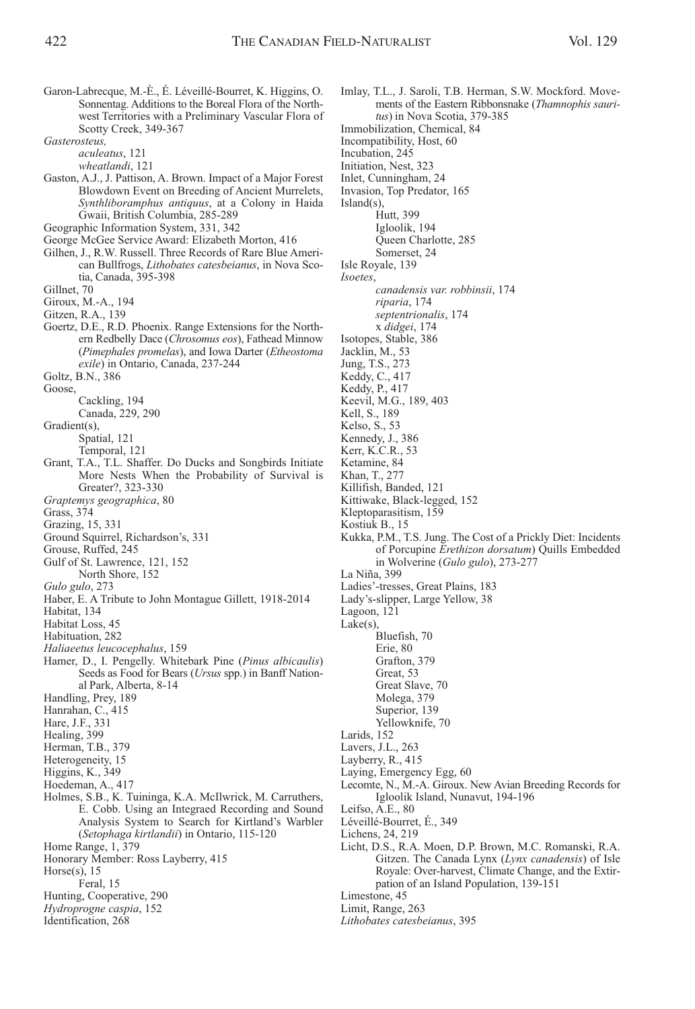Sonnentag. Additions to the Boreal Flora of the Northwest Territories with a Preliminary Vascular Flora of Scotty Creek, 349-367

*Gasterosteus,*

*aculeatus*, 121

*wheatlandi*, 121

- Gaston, A.J., J. Pattison, A. Brown. Impact of a Major Forest Blowdown Event on Breeding of Ancient Murrelets, *Synthliboramphus antiquus*, at a Colony in Haida Gwaii, British Columbia, 285-289
- Geographic Information System, 331, 342
- George McGee Service Award: Elizabeth Morton, 416
- Gilhen, J., R.W. Russell. Three Records of Rare Blue American Bullfrogs, *Lithobates catesbeianus*, in Nova Scotia, Canada, 395-398
- Gillnet, 70
- Giroux, M.-A., 194
- Gitzen, R.A., 139
- Goertz, D.E., R.D. Phoenix. Range Extensions for the Northern Redbelly Dace (*Chrosomus eos*), Fathead Minnow (*Pimephales promelas*), and Iowa Darter (*Etheostoma exile*) in Ontario, Canada, 237-244
- Goltz, B.N., 386
- Goose,
	- Cackling, 194
	- Canada, 229, 290
- Gradient(s),
	- Spatial, 121
	- Temporal, 121
- Grant, T.A., T.L. Shaffer. Do Ducks and Songbirds Initiate More Nests When the Probability of Survival is Greater?, 323-330
- *Graptemys geographica*, 80
- Grass, 374
- Grazing, 15, 331
- Ground Squirrel, Richardson's, 331
- Grouse, Ruffed, 245
- Gulf of St. Lawrence, 121, 152 North Shore, 152
- *Gulo gulo*, 273
- 
- Haber, E. A Tribute to John Montague Gillett, 1918-2014 Habitat, 134
- Habitat Loss, 45
- Habituation, 282
- *Haliaeetus leucocephalus*, 159
- Hamer, D., I. Pengelly. Whitebark Pine (*Pinus albicaulis*) Seeds as Food for Bears (*Ursus* spp.) in Banff National Park, Alberta, 8-14
- Handling, Prey, 189
- Hanrahan, C., 415
- Hare, J.F., 331
- Healing, 399
- Herman, T.B., 379
- Heterogeneity, 15
- Higgins, K., 349
- Hoedeman, A., 417
- Holmes, S.B., K. Tuininga, K.A. McIlwrick, M. Carruthers, E. Cobb. Using an Integraed Recording and Sound Analysis System to Search for Kirtland's Warbler (*Setophaga kirtlandii*) in Ontario, 115-120 Home Range, 1, 379
- Honorary Member: Ross Layberry, 415
- Horse $(s)$ , 15
- Feral, 15
- Hunting, Cooperative, 290
- *Hydroprogne caspia*, 152
- Identification, 268

Imlay, T.L., J. Saroli, T.B. Herman, S.W. Mockford. Movements of the Eastern Ribbonsnake (*Thamnophis sauritus*) in Nova Scotia, 379-385 Immobilization, Chemical, 84 Incompatibility, Host, 60 Incubation, 245 Initiation, Nest, 323 Inlet, Cunningham, 24 Invasion, Top Predator, 165 Island(s), Hutt, 399 Igloolik, 194 Queen Charlotte, 285 Somerset, 24 Isle Royale, 139 *Isoetes*, *canadensis var. robbinsii*, 174 *riparia*, 174 *septentrionalis*, 174 x *didgei*, 174 Isotopes, Stable, 386 Jacklin, M., 53 Jung, T.S., 273 Keddy, C., 417 Keddy, P., 417 Keevil, M.G., 189, 403 Kell, S., 189 Kelso, S., 53 Kennedy, J., 386 Kerr, K.C.R., 53 Ketamine, 84 Khan, T., 277 Killifish, Banded, 121 Kittiwake, Black-legged, 152 Kleptoparasitism, 159 Kostiuk B., 15 Kukka, P.M., T.S. Jung. The Cost of a Prickly Diet: Incidents of Porcupine *Erethizon dorsatum*) Quills Embedded in Wolverine (*Gulo gulo*), 273-277 La Niña, 399 Ladies'-tresses, Great Plains, 183 Lady's-slipper, Large Yellow, 38 Lagoon, 121 Lake(s), Bluefish, 70 Erie, 80 Grafton, 379 Great, 53 Great Slave, 70 Molega, 379 Superior, 139 Yellowknife, 70 Larids, 152 Lavers, J.L., 263 Layberry, R., 415 Laying, Emergency Egg, 60 Lecomte, N., M.-A. Giroux. New Avian Breeding Records for Igloolik Island, Nunavut, 194-196 Leifso, A.E., 80 Léveillé-Bourret, É., 349 Lichens, 24, 219

Licht, D.S., R.A. Moen, D.P. Brown, M.C. Romanski, R.A. Gitzen. The Canada Lynx (*Lynx canadensis*) of Isle Royale: Over-harvest, Climate Change, and the Extirpation of an Island Population, 139-151 Limestone, 45

Limit, Range, 263

*Lithobates catesbeianus*, 395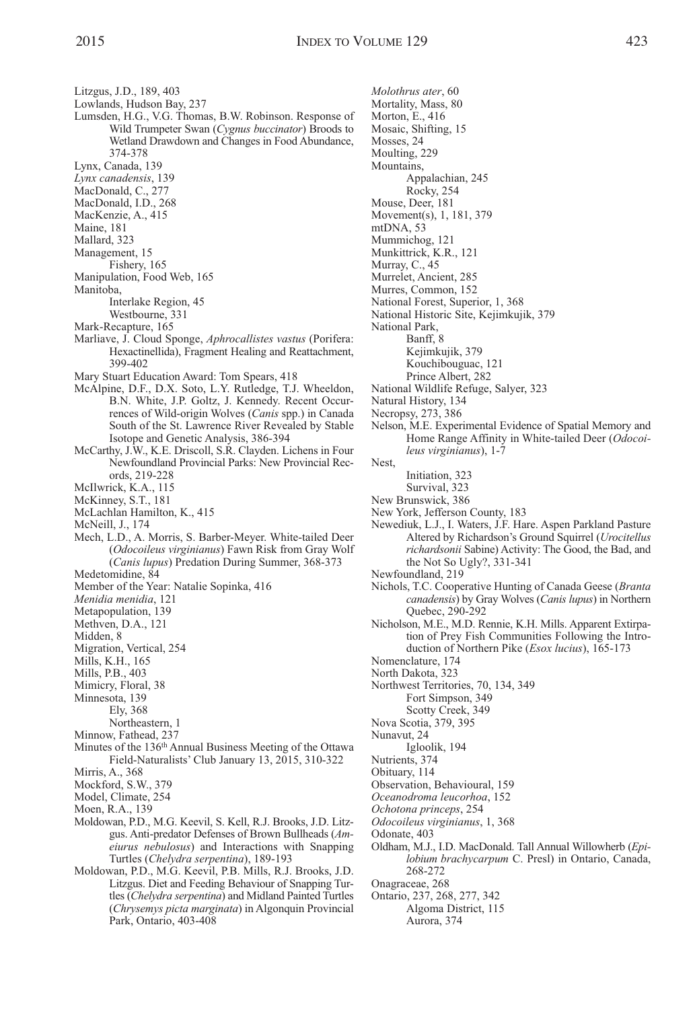Litzgus, J.D., 189, 403

- Lowlands, Hudson Bay, 237
- Lumsden, H.G., V.G. Thomas, B.W. Robinson. Response of Wild Trumpeter Swan (*Cygnus buccinator*) Broods to Wetland Drawdown and Changes in Food Abundance, 374-378
- Lynx, Canada, 139

*Lynx canadensis*, 139

- MacDonald, C., 277
- MacDonald, I.D., 268

MacKenzie, A., 415

Maine, 181

- Mallard, 323
- Management, 15
- Fishery, 165
- Manipulation, Food Web, 165 Manitoba,

Interlake Region, 45

Westbourne, 331

Mark-Recapture, 165

- Marliave, J. Cloud Sponge, *Aphrocallistes vastus* (Porifera: Hexactinellida), Fragment Healing and Reattachment, 399-402
- Mary Stuart Education Award: Tom Spears, 418
- McAlpine, D.F., D.X. Soto, L.Y. Rutledge, T.J. Wheeldon, B.N. White, J.P. Goltz, J. Kennedy. Recent Occurrences of Wild-origin Wolves (*Canis* spp.) in Canada South of the St. Lawrence River Revealed by Stable Isotope and Genetic Analysis, 386-394
- McCarthy, J.W., K.E. Driscoll, S.R. Clayden. Lichens in Four Newfoundland Provincial Parks: New Provincial Records, 219-228
- McIlwrick, K.A., 115
- McKinney, S.T., 181
- McLachlan Hamilton, K., 415
- McNeill, J., 174
- Mech, L.D., A. Morris, S. Barber-Meyer. White-tailed Deer (*Odocoileus virginianus*) Fawn Risk from Gray Wolf (*Canis lupus*) Predation During Summer, 368-373 Medetomidine, 84
- Member of the Year: Natalie Sopinka, 416
- *Menidia menidia*, 121
- Metapopulation, 139
- Methven, D.A., 121
- Midden, 8
- Migration, Vertical, 254
- Mills, K.H., 165
- Mills, P.B., 403
- Mimicry, Floral, 38
- Minnesota, 139
- Ely, 368
	- Northeastern, 1
- Minnow, Fathead, 237
- Minutes of the 136th Annual Business Meeting of the Ottawa Field-Naturalists' Club January 13, 2015, 310-322
- Mirris, A., 368
- Mockford, S.W., 379
- Model, Climate, 254
- Moen, R.A., 139
- Moldowan, P.D., M.G. Keevil, S. Kell, R.J. Brooks, J.D. Litzgus. Anti-predator Defenses of Brown Bullheads (*Ameiurus nebulosus*) and Interactions with Snapping Turtles (*Chelydra serpentina*), 189-193
- Moldowan, P.D., M.G. Keevil, P.B. Mills, R.J. Brooks, J.D. Litzgus. Diet and Feeding Behaviour of Snapping Turtles (*Chelydra serpentina*) and Midland Painted Turtles (*Chrysemys picta marginata*) in Algonquin Provincial Park, Ontario, 403-408

*Molothrus ater*, 60 Mortality, Mass, 80 Morton, E., 416 Mosaic, Shifting, 15 Mosses, 24 Moulting, 229 Mountains, Appalachian, 245 Rocky, 254 Mouse, Deer, 181 Movement(s), 1, 181, 379 mtDNA, 53 Mummichog, 121 Munkittrick, K.R., 121 Murray, C., 45 Murrelet, Ancient, 285 Murres, Common, 152 National Forest, Superior, 1, 368 National Historic Site, Kejimkujik, 379 National Park, Banff, 8 Kejimkujik, 379 Kouchibouguac, 121 Prince Albert, 282 National Wildlife Refuge, Salyer, 323 Natural History, 134 Necropsy, 273, 386 Nelson, M.E. Experimental Evidence of Spatial Memory and Home Range Affinity in White-tailed Deer (*Odocoileus virginianus*), 1-7 Nest, Initiation, 323 Survival, 323 New Brunswick, 386 New York, Jefferson County, 183 Newediuk, L.J., I. Waters, J.F. Hare. Aspen Parkland Pasture Altered by Richardson's Ground Squirrel (*Urocitellus richardsonii* Sabine) Activity: The Good, the Bad, and the Not So Ugly?, 331-341 Newfoundland, 219 Nichols, T.C. Cooperative Hunting of Canada Geese (*Branta canadensis*) by Gray Wolves (*Canis lupus*) in Northern Quebec, 290-292 Nicholson, M.E., M.D. Rennie, K.H. Mills. Apparent Extirpation of Prey Fish Communities Following the Introduction of Northern Pike (*Esox lucius*), 165-173 Nomenclature, 174 North Dakota, 323 Northwest Territories, 70, 134, 349 Fort Simpson, 349 Scotty Creek, 349 Nova Scotia, 379, 395 Nunavut, 24 Igloolik, 194 Nutrients, 374 Obituary, 114 Observation, Behavioural, 159 *Oceanodroma leucorhoa*, 152 *Ochotona princeps*, 254 *Odocoileus virginianus*, 1, 368 Odonate, 403 Oldham, M.J., I.D. MacDonald. Tall Annual Willowherb (*Epilobium brachycarpum* C. Presl) in Ontario, Canada, 268-272

Onagraceae, 268

Ontario, 237, 268, 277, 342 Algoma District, 115 Aurora, 374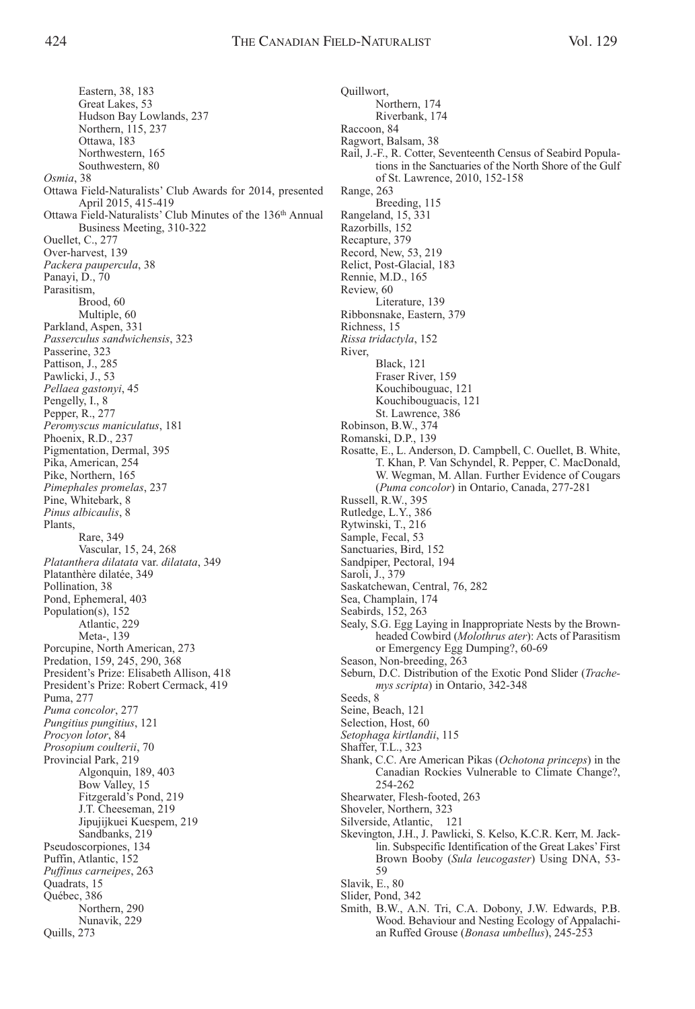Eastern, 38, 183 Great Lakes, 53 Hudson Bay Lowlands, 237 Northern, 115, 237 Ottawa, 183 Northwestern, 165 Southwestern, 80 *Osmia*, 38 Ottawa Field-Naturalists' Club Awards for 2014, presented April 2015, 415-419 Ottawa Field-Naturalists' Club Minutes of the 136th Annual Business Meeting, 310-322 Ouellet, C., 277 Over-harvest, 139 *Packera paupercula*, 38 Panayi, D., 70 Parasitism, Brood, 60 Multiple, 60 Parkland, Aspen, 331 *Passerculus sandwichensis*, 323 Passerine, 323 Pattison, J., 285 Pawlicki, J., 53 *Pellaea gastonyi*, 45 Pengelly, I., 8 Pepper, R., 277 *Peromyscus maniculatus*, 181 Phoenix, R.D., 237 Pigmentation, Dermal, 395 Pika, American, 254 Pike, Northern, 165 *Pimephales promelas*, 237 Pine, Whitebark, 8 *Pinus albicaulis*, 8 Plants, Rare, 349 Vascular, 15, 24, 268 *Platanthera dilatata* var. *dilatata*, 349 Platanthère dilatée, 349 Pollination, 38 Pond, Ephemeral, 403 Population(s), 152 Atlantic, 229 Meta-, 139 Porcupine, North American, 273 Predation, 159, 245, 290, 368 President's Prize: Elisabeth Allison, 418 President's Prize: Robert Cermack, 419 Puma, 277 *Puma concolor*, 277 *Pungitius pungitius*, 121 *Procyon lotor*, 84 *Prosopium coulterii*, 70 Provincial Park, 219 Algonquin, 189, 403 Bow Valley, 15 Fitzgerald's Pond, 219 J.T. Cheeseman, 219 Jipujijkuei Kuespem, 219 Sandbanks, 219 Pseudoscorpiones, 134 Puffin, Atlantic, 152 *Puffinus carneipes*, 263 Quadrats, 15 Québec, 386 Northern, 290 Nunavik, 229 Quills, 273

Quillwort, Northern, 174 Riverbank, 174 Raccoon, 84 Ragwort, Balsam, 38 Rail, J.-F., R. Cotter, Seventeenth Census of Seabird Populations in the Sanctuaries of the North Shore of the Gulf of St. Lawrence, 2010, 152-158 Range, 263 Breeding, 115 Rangeland, 15, 331 Razorbills, 152 Recapture, 379 Record, New, 53, 219 Relict, Post-Glacial, 183 Rennie, M.D., 165 Review, 60 Literature, 139 Ribbonsnake, Eastern, 379 Richness, 15 *Rissa tridactyla*, 152 River, Black, 121 Fraser River, 159 Kouchibouguac, 121 Kouchibouguacis, 121 St. Lawrence, 386 Robinson, B.W., 374 Romanski, D.P., 139 Rosatte, E., L. Anderson, D. Campbell, C. Ouellet, B. White, T. Khan, P. Van Schyndel, R. Pepper, C. MacDonald, W. Wegman, M. Allan. Further Evidence of Cougars (*Puma concolor*) in Ontario, Canada, 277-281 Russell, R.W., 395 Rutledge, L.Y., 386 Rytwinski, T., 216 Sample, Fecal, 53 Sanctuaries, Bird, 152 Sandpiper, Pectoral, 194 Saroli, J., 379 Saskatchewan, Central, 76, 282 Sea, Champlain, 174 Seabirds, 152, 263 Sealy, S.G. Egg Laying in Inappropriate Nests by the Brownheaded Cowbird (*Molothrus ater*): Acts of Parasitism or Emergency Egg Dumping?, 60-69 Season, Non-breeding, 263 Seburn, D.C. Distribution of the Exotic Pond Slider (*Trachemys scripta*) in Ontario, 342-348 Seeds, 8 Seine, Beach, 121 Selection, Host, 60 *Setophaga kirtlandii*, 115 Shaffer, T.L., 323 Shank, C.C. Are American Pikas (*Ochotona princeps*) in the Canadian Rockies Vulnerable to Climate Change?, 254-262 Shearwater, Flesh-footed, 263 Shoveler, Northern, 323 Silverside, Atlantic, 121 Skevington, J.H., J. Pawlicki, S. Kelso, K.C.R. Kerr, M. Jacklin. Subspecific Identification of the Great Lakes' First Brown Booby (*Sula leucogaster*) Using DNA, 53- 59 Slavik, E., 80 Slider, Pond, 342 Smith, B.W., A.N. Tri, C.A. Dobony, J.W. Edwards, P.B. Wood. Behaviour and Nesting Ecology of Appalachi-

an Ruffed Grouse (*Bonasa umbellus*), 245-253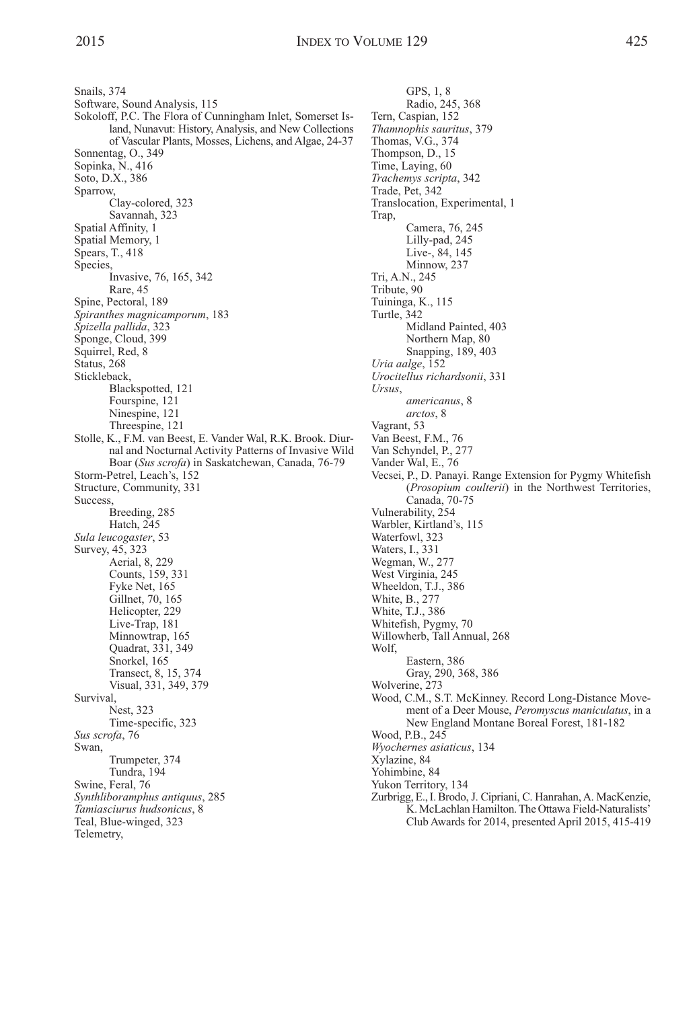Snails, 374 Software, Sound Analysis, 115 Sokoloff, P.C. The Flora of Cunningham Inlet, Somerset Island, Nunavut: History, Analysis, and New Collections of Vascular Plants, Mosses, Lichens, and Algae, 24-37 Sonnentag, O., 349 Sopinka, N., 416 Soto, D.X., 386 Sparrow, Clay-colored, 323 Savannah, 323 Spatial Affinity, 1 Spatial Memory, 1 Spears, T., 418 Species, Invasive, 76, 165, 342 Rare, 45 Spine, Pectoral, 189 *Spiranthes magnicamporum*, 183 *Spizella pallida*, 323 Sponge, Cloud, 399 Squirrel, Red, 8 Status, 268 Stickleback, Blackspotted, 121 Fourspine, 121 Ninespine, 121 Threespine, 121 Stolle, K., F.M. van Beest, E. Vander Wal, R.K. Brook. Diurnal and Nocturnal Activity Patterns of Invasive Wild Boar (*Sus scrofa*) in Saskatchewan, Canada, 76-79 Storm-Petrel, Leach's, 152 Structure, Community, 331 Success, Breeding, 285 Hatch, 245 *Sula leucogaster*, 53 Survey, 45, 323 Aerial, 8, 229 Counts, 159, 331 Fyke Net, 165 Gillnet, 70, 165 Helicopter, 229 Live-Trap, 181 Minnowtrap, 165 Quadrat, 331, 349 Snorkel, 165 Transect, 8, 15, 374 Visual, 331, 349, 379 Survival, Nest, 323 Time-specific, 323 *Sus scrofa*, 76 Swan, Trumpeter, 374 Tundra, 194 Swine, Feral, 76 *Synthliboramphus antiquus*, 285 *Tamiasciurus hudsonicus*, 8 Teal, Blue-winged, 323 Telemetry,

GPS, 1, 8 Radio, 245, 368 Tern, Caspian, 152 *Thamnophis sauritus*, 379 Thomas, V.G., 374 Thompson, D., 15 Time, Laying, 60 *Trachemys scripta*, 342 Trade, Pet, 342 Translocation, Experimental, 1 Trap, Camera, 76, 245 Lilly-pad, 245 Live-, 84, 145 Minnow, 237 Tri, A.N., 245 Tribute, 90 Tuininga, K., 115 Turtle, 342 Midland Painted, 403 Northern Map, 80 Snapping, 189, 403 *Uria aalge*, 152 *Urocitellus richardsonii*, 331 *Ursus*, *americanus*, 8 *arctos*, 8 Vagrant, 53 Van Beest, F.M., 76 Van Schyndel, P., 277 Vander Wal, E., 76 Vecsei, P., D. Panayi. Range Extension for Pygmy Whitefish (*Prosopium coulterii*) in the Northwest Territories, Canada, 70-75 Vulnerability, 254 Warbler, Kirtland's, 115 Waterfowl, 323 Waters, I., 331 Wegman, W., 277 West Virginia, 245 Wheeldon, T.J., 386 White, B., 277 White, T.J., 386 Whitefish, Pygmy, 70 Willowherb, Tall Annual, 268 Wolf, Eastern, 386 Gray, 290, 368, 386 Wolverine, 273 Wood, C.M., S.T. McKinney. Record Long-Distance Movement of a Deer Mouse, *Peromyscus maniculatus*, in a New England Montane Boreal Forest, 181-182 Wood, P.B., 245 *Wyochernes asiaticus*, 134 Xylazine, 84 Yohimbine, 84 Yukon Territory, 134 Zurbrigg, E., I. Brodo, J. Cipriani, C. Hanrahan, A. MacKenzie, K.McLachlan Hamilton.The Ottawa Field-Naturalists' Club Awards for 2014, presented April 2015, 415-419